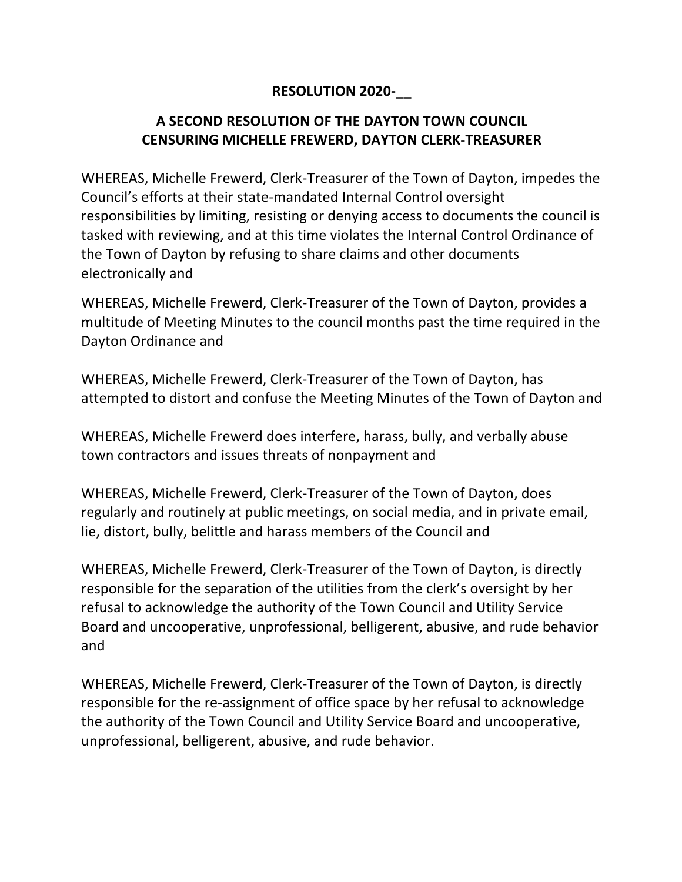## **RESOLUTION 2020-\_\_**

## **A SECOND RESOLUTION OF THE DAYTON TOWN COUNCIL CENSURING MICHELLE FREWERD, DAYTON CLERK-TREASURER**

WHEREAS, Michelle Frewerd, Clerk-Treasurer of the Town of Dayton, impedes the Council's efforts at their state-mandated Internal Control oversight responsibilities by limiting, resisting or denying access to documents the council is tasked with reviewing, and at this time violates the Internal Control Ordinance of the Town of Dayton by refusing to share claims and other documents electronically and

WHEREAS, Michelle Frewerd, Clerk-Treasurer of the Town of Dayton, provides a multitude of Meeting Minutes to the council months past the time required in the Dayton Ordinance and

WHEREAS, Michelle Frewerd, Clerk-Treasurer of the Town of Dayton, has attempted to distort and confuse the Meeting Minutes of the Town of Dayton and

WHEREAS, Michelle Frewerd does interfere, harass, bully, and verbally abuse town contractors and issues threats of nonpayment and

WHEREAS, Michelle Frewerd, Clerk-Treasurer of the Town of Dayton, does regularly and routinely at public meetings, on social media, and in private email, lie, distort, bully, belittle and harass members of the Council and

WHEREAS, Michelle Frewerd, Clerk-Treasurer of the Town of Dayton, is directly responsible for the separation of the utilities from the clerk's oversight by her refusal to acknowledge the authority of the Town Council and Utility Service Board and uncooperative, unprofessional, belligerent, abusive, and rude behavior and

WHEREAS, Michelle Frewerd, Clerk-Treasurer of the Town of Dayton, is directly responsible for the re-assignment of office space by her refusal to acknowledge the authority of the Town Council and Utility Service Board and uncooperative, unprofessional, belligerent, abusive, and rude behavior.